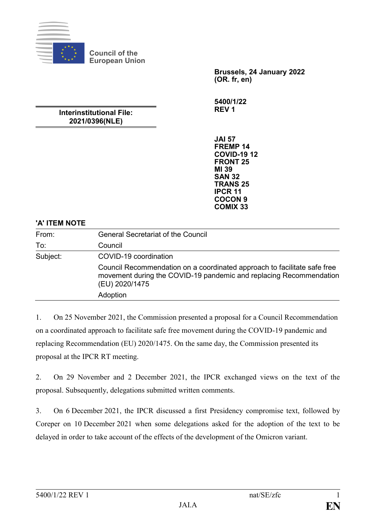

**Council of the European Union**

> **Brussels, 24 January 2022 (OR. fr, en)**

**5400/1/22 REV 1**

# **Interinstitutional File: 2021/0396(NLE)**

**JAI 57 FREMP 14 COVID-19 12 FRONT 25 MI 39 SAN 32 TRANS 25 IPCR 11 COCON 9 COMIX 33**

## **'A' ITEM NOTE**

| From:    | <b>General Secretariat of the Council</b>                                                                                                                        |
|----------|------------------------------------------------------------------------------------------------------------------------------------------------------------------|
| To:      | Council                                                                                                                                                          |
| Subject: | COVID-19 coordination                                                                                                                                            |
|          | Council Recommendation on a coordinated approach to facilitate safe free<br>movement during the COVID-19 pandemic and replacing Recommendation<br>(EU) 2020/1475 |
|          | Adoption                                                                                                                                                         |

1. On 25 November 2021, the Commission presented a proposal for a Council Recommendation on a coordinated approach to facilitate safe free movement during the COVID-19 pandemic and replacing Recommendation (EU) 2020/1475. On the same day, the Commission presented its proposal at the IPCR RT meeting.

2. On 29 November and 2 December 2021, the IPCR exchanged views on the text of the proposal. Subsequently, delegations submitted written comments.

3. On 6 December 2021, the IPCR discussed a first Presidency compromise text, followed by Coreper on 10 December 2021 when some delegations asked for the adoption of the text to be delayed in order to take account of the effects of the development of the Omicron variant.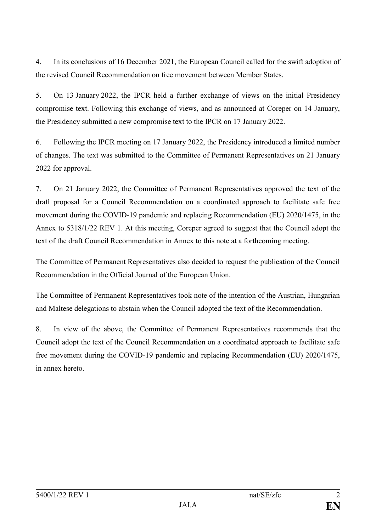4. In its conclusions of 16 December 2021, the European Council called for the swift adoption of the revised Council Recommendation on free movement between Member States.

5. On 13 January 2022, the IPCR held a further exchange of views on the initial Presidency compromise text. Following this exchange of views, and as announced at Coreper on 14 January, the Presidency submitted a new compromise text to the IPCR on 17 January 2022.

6. Following the IPCR meeting on 17 January 2022, the Presidency introduced a limited number of changes. The text was submitted to the Committee of Permanent Representatives on 21 January 2022 for approval.

7. On 21 January 2022, the Committee of Permanent Representatives approved the text of the draft proposal for a Council Recommendation on a coordinated approach to facilitate safe free movement during the COVID-19 pandemic and replacing Recommendation (EU) 2020/1475, in the Annex to 5318/1/22 REV 1. At this meeting, Coreper agreed to suggest that the Council adopt the text of the draft Council Recommendation in Annex to this note at a forthcoming meeting.

The Committee of Permanent Representatives also decided to request the publication of the Council Recommendation in the Official Journal of the European Union.

The Committee of Permanent Representatives took note of the intention of the Austrian, Hungarian and Maltese delegations to abstain when the Council adopted the text of the Recommendation.

8. In view of the above, the Committee of Permanent Representatives recommends that the Council adopt the text of the Council Recommendation on a coordinated approach to facilitate safe free movement during the COVID-19 pandemic and replacing Recommendation (EU) 2020/1475, in annex hereto.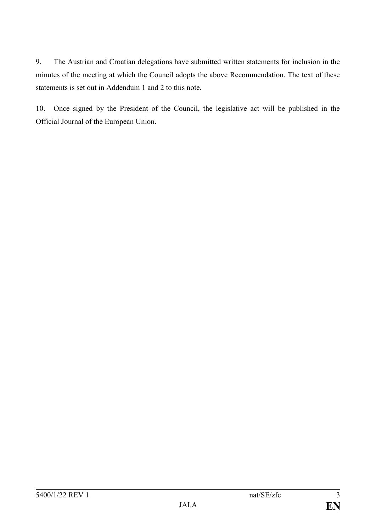9. The Austrian and Croatian delegations have submitted written statements for inclusion in the minutes of the meeting at which the Council adopts the above Recommendation. The text of these statements is set out in Addendum 1 and 2 to this note.

10. Once signed by the President of the Council, the legislative act will be published in the Official Journal of the European Union.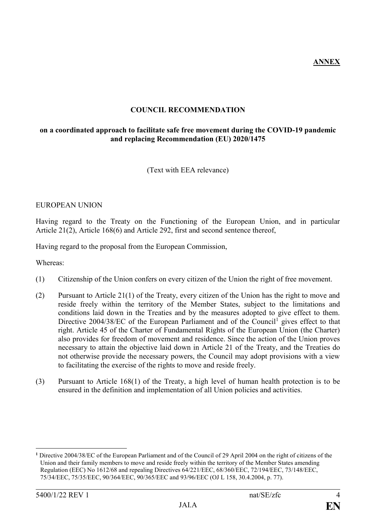**ANNEX**

# **COUNCIL RECOMMENDATION**

# **on a coordinated approach to facilitate safe free movement during the COVID-19 pandemic and replacing Recommendation (EU) 2020/1475**

(Text with EEA relevance)

## EUROPEAN UNION

Having regard to the Treaty on the Functioning of the European Union, and in particular Article 21(2), Article 168(6) and Article 292, first and second sentence thereof,

Having regard to the proposal from the European Commission,

Whereas:

- (1) Citizenship of the Union confers on every citizen of the Union the right of free movement.
- (2) Pursuant to Article 21(1) of the Treaty, every citizen of the Union has the right to move and reside freely within the territory of the Member States, subject to the limitations and conditions laid down in the Treaties and by the measures adopted to give effect to them. Directive  $2004/38/EC$  of the European Parliament and of the Council<sup>1</sup> gives effect to that right. Article 45 of the Charter of Fundamental Rights of the European Union (the Charter) also provides for freedom of movement and residence. Since the action of the Union proves necessary to attain the objective laid down in Article 21 of the Treaty, and the Treaties do not otherwise provide the necessary powers, the Council may adopt provisions with a view to facilitating the exercise of the rights to move and reside freely.
- (3) Pursuant to Article 168(1) of the Treaty, a high level of human health protection is to be ensured in the definition and implementation of all Union policies and activities.

**<sup>1</sup>** Directive 2004/38/EC of the European Parliament and of the Council of 29 April 2004 on the right of citizens of the Union and their family members to move and reside freely within the territory of the Member States amending Regulation (EEC) No 1612/68 and repealing Directives 64/221/EEC, 68/360/EEC, 72/194/EEC, 73/148/EEC, 75/34/EEC, 75/35/EEC, 90/364/EEC, 90/365/EEC and 93/96/EEC (OJ L 158, 30.4.2004, p. 77).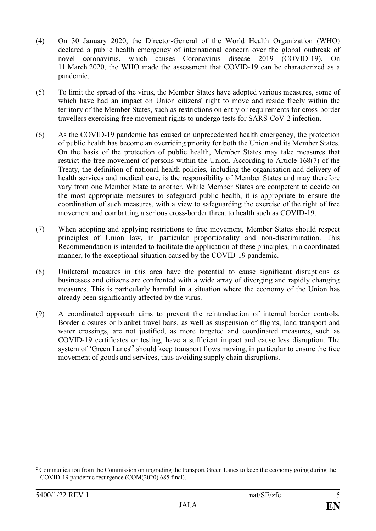- (4) On 30 January 2020, the Director-General of the World Health Organization (WHO) declared a public health emergency of international concern over the global outbreak of novel coronavirus, which causes Coronavirus disease 2019 (COVID-19). On 11 March 2020, the WHO made the assessment that COVID-19 can be characterized as a pandemic.
- (5) To limit the spread of the virus, the Member States have adopted various measures, some of which have had an impact on Union citizens' right to move and reside freely within the territory of the Member States, such as restrictions on entry or requirements for cross-border travellers exercising free movement rights to undergo tests for SARS-CoV-2 infection.
- (6) As the COVID-19 pandemic has caused an unprecedented health emergency, the protection of public health has become an overriding priority for both the Union and its Member States. On the basis of the protection of public health, Member States may take measures that restrict the free movement of persons within the Union. According to Article 168(7) of the Treaty, the definition of national health policies, including the organisation and delivery of health services and medical care, is the responsibility of Member States and may therefore vary from one Member State to another. While Member States are competent to decide on the most appropriate measures to safeguard public health, it is appropriate to ensure the coordination of such measures, with a view to safeguarding the exercise of the right of free movement and combatting a serious cross-border threat to health such as COVID-19.
- (7) When adopting and applying restrictions to free movement, Member States should respect principles of Union law, in particular proportionality and non-discrimination. This Recommendation is intended to facilitate the application of these principles, in a coordinated manner, to the exceptional situation caused by the COVID-19 pandemic.
- (8) Unilateral measures in this area have the potential to cause significant disruptions as businesses and citizens are confronted with a wide array of diverging and rapidly changing measures. This is particularly harmful in a situation where the economy of the Union has already been significantly affected by the virus.
- (9) A coordinated approach aims to prevent the reintroduction of internal border controls. Border closures or blanket travel bans, as well as suspension of flights, land transport and water crossings, are not justified, as more targeted and coordinated measures, such as COVID-19 certificates or testing, have a sufficient impact and cause less disruption. The system of 'Green Lanes<sup>'2</sup> should keep transport flows moving, in particular to ensure the free movement of goods and services, thus avoiding supply chain disruptions.

**<sup>2</sup>** Communication from the Commission on upgrading the transport Green Lanes to keep the economy going during the COVID-19 pandemic resurgence (COM(2020) 685 final).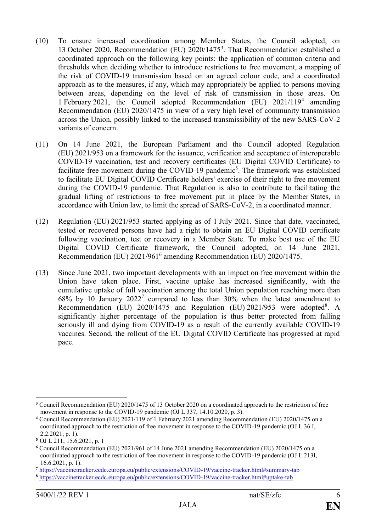- (10) To ensure increased coordination among Member States, the Council adopted, on 13 October 2020, Recommendation (EU) 2020/1475<sup>3</sup> . That Recommendation established a coordinated approach on the following key points: the application of common criteria and thresholds when deciding whether to introduce restrictions to free movement, a mapping of the risk of COVID-19 transmission based on an agreed colour code, and a coordinated approach as to the measures, if any, which may appropriately be applied to persons moving between areas, depending on the level of risk of transmission in those areas. On 1 February 2021, the Council adopted Recommendation (EU) 2021/119<sup>4</sup> amending Recommendation (EU) 2020/1475 in view of a very high level of community transmission across the Union, possibly linked to the increased transmissibility of the new SARS-CoV-2 variants of concern.
- (11) On 14 June 2021, the European Parliament and the Council adopted Regulation (EU) 2021/953 on a framework for the issuance, verification and acceptance of interoperable COVID-19 vaccination, test and recovery certificates (EU Digital COVID Certificate) to facilitate free movement during the COVID-19 pandemic<sup>5</sup>. The framework was established to facilitate EU Digital COVID Certificate holders' exercise of their right to free movement during the COVID-19 pandemic. That Regulation is also to contribute to facilitating the gradual lifting of restrictions to free movement put in place by the Member States, in accordance with Union law, to limit the spread of SARS-CoV-2, in a coordinated manner.
- (12) Regulation (EU) 2021/953 started applying as of 1 July 2021. Since that date, vaccinated, tested or recovered persons have had a right to obtain an EU Digital COVID certificate following vaccination, test or recovery in a Member State. To make best use of the EU Digital COVID Certificate framework, the Council adopted, on 14 June 2021, Recommendation (EU) 2021/961<sup>6</sup> amending Recommendation (EU) 2020/1475.
- (13) Since June 2021, two important developments with an impact on free movement within the Union have taken place. First, vaccine uptake has increased significantly, with the cumulative uptake of full vaccination among the total Union population reaching more than  $68\%$  by 10 January  $2022<sup>7</sup>$  compared to less than 30% when the latest amendment to Recommendation (EU) 2020/1475 and Regulation (EU) 2021/953 were adopted<sup>8</sup>. A significantly higher percentage of the population is thus better protected from falling seriously ill and dying from COVID-19 as a result of the currently available COVID-19 vaccines. Second, the rollout of the EU Digital COVID Certificate has progressed at rapid pace.

<sup>1</sup> **<sup>3</sup>** Council Recommendation (EU) 2020/1475 of 13 October 2020 on a coordinated approach to the restriction of free movement in response to the COVID-19 pandemic (OJ L 337, 14.10.2020, p. 3).

**<sup>4</sup>** Council Recommendation (EU) 2021/119 of 1 February 2021 amending Recommendation (EU) 2020/1475 on a coordinated approach to the restriction of free movement in response to the COVID-19 pandemic (OJ L 36 I, 2.2.2021, p. 1).

**<sup>5</sup>** OJ L 211, 15.6.2021, p. 1

**<sup>6</sup>** Council Recommendation (EU) 2021/961 of 14 June 2021 amending Recommendation (EU) 2020/1475 on a coordinated approach to the restriction of free movement in response to the COVID-19 pandemic (OJ L 213I, 16.6.2021, p. 1).

**<sup>7</sup>** https://vaccinetracker.ecdc.europa.eu/public/extensions/COVID-19/vaccine-tracker.html#summary-tab

**<sup>8</sup>** https://vaccinetracker.ecdc.europa.eu/public/extensions/COVID-19/vaccine-tracker.html#uptake-tab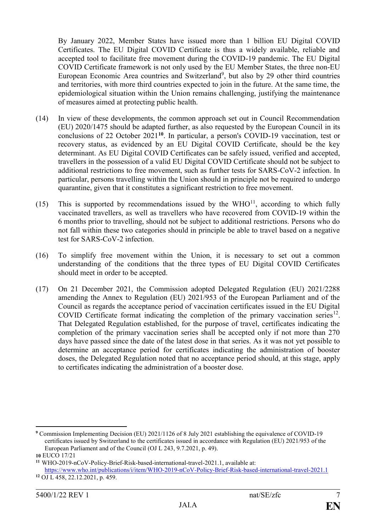By January 2022, Member States have issued more than 1 billion EU Digital COVID Certificates. The EU Digital COVID Certificate is thus a widely available, reliable and accepted tool to facilitate free movement during the COVID-19 pandemic. The EU Digital COVID Certificate framework is not only used by the EU Member States, the three non-EU European Economic Area countries and Switzerland<sup>9</sup>, but also by 29 other third countries and territories, with more third countries expected to join in the future. At the same time, the epidemiological situation within the Union remains challenging, justifying the maintenance of measures aimed at protecting public health.

- (14) In view of these developments, the common approach set out in Council Recommendation (EU) 2020/1475 should be adapted further, as also requested by the European Council in its conclusions of 22 October 2021**<sup>10</sup>**. In particular, a person's COVID-19 vaccination, test or recovery status, as evidenced by an EU Digital COVID Certificate, should be the key determinant. As EU Digital COVID Certificates can be safely issued, verified and accepted, travellers in the possession of a valid EU Digital COVID Certificate should not be subject to additional restrictions to free movement, such as further tests for SARS-CoV-2 infection. In particular, persons travelling within the Union should in principle not be required to undergo quarantine, given that it constitutes a significant restriction to free movement.
- (15) This is supported by recommendations issued by the  $WHO<sup>11</sup>$ , according to which fully vaccinated travellers, as well as travellers who have recovered from COVID-19 within the 6 months prior to travelling, should not be subject to additional restrictions. Persons who do not fall within these two categories should in principle be able to travel based on a negative test for SARS-CoV-2 infection.
- (16) To simplify free movement within the Union, it is necessary to set out a common understanding of the conditions that the three types of EU Digital COVID Certificates should meet in order to be accepted.
- (17) On 21 December 2021, the Commission adopted Delegated Regulation (EU) 2021/2288 amending the Annex to Regulation (EU) 2021/953 of the European Parliament and of the Council as regards the acceptance period of vaccination certificates issued in the EU Digital COVID Certificate format indicating the completion of the primary vaccination series $12$ . That Delegated Regulation established, for the purpose of travel, certificates indicating the completion of the primary vaccination series shall be accepted only if not more than 270 days have passed since the date of the latest dose in that series. As it was not yet possible to determine an acceptance period for certificates indicating the administration of booster doses, the Delegated Regulation noted that no acceptance period should, at this stage, apply to certificates indicating the administration of a booster dose.

**<sup>9</sup>** Commission Implementing Decision (EU) 2021/1126 of 8 July 2021 establishing the equivalence of COVID-19 certificates issued by Switzerland to the certificates issued in accordance with Regulation (EU) 2021/953 of the European Parliament and of the Council (OJ L 243, 9.7.2021, p. 49). **10** EUCO 17/21

**<sup>11</sup>** WHO-2019-nCoV-Policy-Brief-Risk-based-international-travel-2021.1, available at: <https://www.who.int/publications/i/item/WHO-2019-nCoV-Policy-Brief-Risk-based-international-travel-2021.1>

**<sup>12</sup>** OJ L 458, 22.12.2021, p. 459.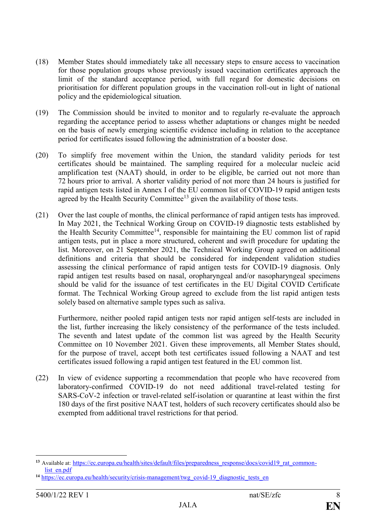- (18) Member States should immediately take all necessary steps to ensure access to vaccination for those population groups whose previously issued vaccination certificates approach the limit of the standard acceptance period, with full regard for domestic decisions on prioritisation for different population groups in the vaccination roll-out in light of national policy and the epidemiological situation.
- (19) The Commission should be invited to monitor and to regularly re-evaluate the approach regarding the acceptance period to assess whether adaptations or changes might be needed on the basis of newly emerging scientific evidence including in relation to the acceptance period for certificates issued following the administration of a booster dose.
- (20) To simplify free movement within the Union, the standard validity periods for test certificates should be maintained. The sampling required for a molecular nucleic acid amplification test (NAAT) should, in order to be eligible, be carried out not more than 72 hours prior to arrival. A shorter validity period of not more than 24 hours is justified for rapid antigen tests listed in Annex I of the EU common list of COVID-19 rapid antigen tests agreed by the Health Security Committee<sup>13</sup> given the availability of those tests.
- (21) Over the last couple of months, the clinical performance of rapid antigen tests has improved. In May 2021, the Technical Working Group on COVID-19 diagnostic tests established by the Health Security Committee<sup>14</sup>, responsible for maintaining the EU common list of rapid antigen tests, put in place a more structured, coherent and swift procedure for updating the list. Moreover, on 21 September 2021, the Technical Working Group agreed on additional definitions and criteria that should be considered for independent validation studies assessing the clinical performance of rapid antigen tests for COVID-19 diagnosis. Only rapid antigen test results based on nasal, oropharyngeal and/or nasopharyngeal specimens should be valid for the issuance of test certificates in the EU Digital COVID Certificate format. The Technical Working Group agreed to exclude from the list rapid antigen tests solely based on alternative sample types such as saliva.

Furthermore, neither pooled rapid antigen tests nor rapid antigen self-tests are included in the list, further increasing the likely consistency of the performance of the tests included. The seventh and latest update of the common list was agreed by the Health Security Committee on 10 November 2021. Given these improvements, all Member States should, for the purpose of travel, accept both test certificates issued following a NAAT and test certificates issued following a rapid antigen test featured in the EU common list.

(22) In view of evidence supporting a recommendation that people who have recovered from laboratory-confirmed COVID-19 do not need additional travel-related testing for SARS-CoV-2 infection or travel-related self-isolation or quarantine at least within the first 180 days of the first positive NAAT test, holders of such recovery certificates should also be exempted from additional travel restrictions for that period.

<sup>&</sup>lt;sup>13</sup> Available at: [https://ec.europa.eu/health/sites/default/files/preparedness\\_response/docs/covid19\\_rat\\_common](https://ec.europa.eu/health/sites/default/files/preparedness_response/docs/covid19_rat_common-list_en.pdf)[list\\_en.pdf](https://ec.europa.eu/health/sites/default/files/preparedness_response/docs/covid19_rat_common-list_en.pdf)

<sup>14</sup> https://ec<u>.europa.eu/health/security/crisis-management/twg\_covid-19\_diagnostic\_tests\_en</u>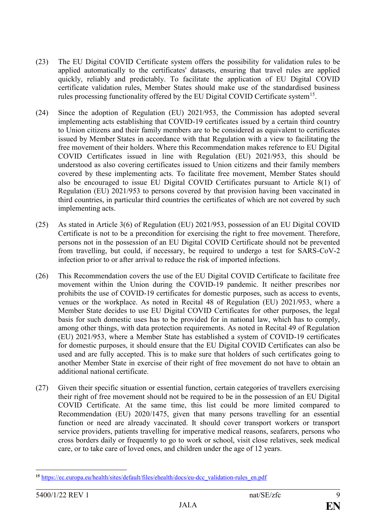- (23) The EU Digital COVID Certificate system offers the possibility for validation rules to be applied automatically to the certificates' datasets, ensuring that travel rules are applied quickly, reliably and predictably. To facilitate the application of EU Digital COVID certificate validation rules, Member States should make use of the standardised business rules processing functionality offered by the EU Digital COVID Certificate system<sup>15</sup>.
- (24) Since the adoption of Regulation (EU) 2021/953, the Commission has adopted several implementing acts establishing that COVID-19 certificates issued by a certain third country to Union citizens and their family members are to be considered as equivalent to certificates issued by Member States in accordance with that Regulation with a view to facilitating the free movement of their holders. Where this Recommendation makes reference to EU Digital COVID Certificates issued in line with Regulation (EU) 2021/953, this should be understood as also covering certificates issued to Union citizens and their family members covered by these implementing acts. To facilitate free movement, Member States should also be encouraged to issue EU Digital COVID Certificates pursuant to Article 8(1) of Regulation (EU) 2021/953 to persons covered by that provision having been vaccinated in third countries, in particular third countries the certificates of which are not covered by such implementing acts.
- (25) As stated in Article 3(6) of Regulation (EU) 2021/953, possession of an EU Digital COVID Certificate is not to be a precondition for exercising the right to free movement. Therefore, persons not in the possession of an EU Digital COVID Certificate should not be prevented from travelling, but could, if necessary, be required to undergo a test for SARS-CoV-2 infection prior to or after arrival to reduce the risk of imported infections.
- (26) This Recommendation covers the use of the EU Digital COVID Certificate to facilitate free movement within the Union during the COVID-19 pandemic. It neither prescribes nor prohibits the use of COVID-19 certificates for domestic purposes, such as access to events, venues or the workplace. As noted in Recital 48 of Regulation (EU) 2021/953, where a Member State decides to use EU Digital COVID Certificates for other purposes, the legal basis for such domestic uses has to be provided for in national law, which has to comply, among other things, with data protection requirements. As noted in Recital 49 of Regulation (EU) 2021/953, where a Member State has established a system of COVID-19 certificates for domestic purposes, it should ensure that the EU Digital COVID Certificates can also be used and are fully accepted. This is to make sure that holders of such certificates going to another Member State in exercise of their right of free movement do not have to obtain an additional national certificate.
- (27) Given their specific situation or essential function, certain categories of travellers exercising their right of free movement should not be required to be in the possession of an EU Digital COVID Certificate. At the same time, this list could be more limited compared to Recommendation (EU) 2020/1475, given that many persons travelling for an essential function or need are already vaccinated. It should cover transport workers or transport service providers, patients travelling for imperative medical reasons, seafarers, persons who cross borders daily or frequently to go to work or school, visit close relatives, seek medical care, or to take care of loved ones, and children under the age of 12 years.

<sup>&</sup>lt;u>.</u> **<sup>15</sup>** [https://ec.europa.eu/health/sites/default/files/ehealth/docs/eu-dcc\\_validation-rules\\_en.pdf](https://ec.europa.eu/health/sites/default/files/ehealth/docs/eu-dcc_validation-rules_en.pdf)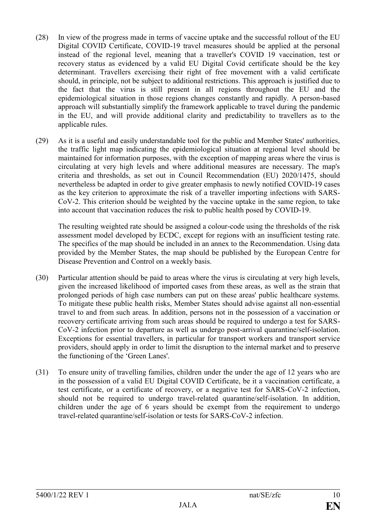- (28) In view of the progress made in terms of vaccine uptake and the successful rollout of the EU Digital COVID Certificate, COVID-19 travel measures should be applied at the personal instead of the regional level, meaning that a traveller's COVID 19 vaccination, test or recovery status as evidenced by a valid EU Digital Covid certificate should be the key determinant. Travellers exercising their right of free movement with a valid certificate should, in principle, not be subject to additional restrictions. This approach is justified due to the fact that the virus is still present in all regions throughout the EU and the epidemiological situation in those regions changes constantly and rapidly. A person-based approach will substantially simplify the framework applicable to travel during the pandemic in the EU, and will provide additional clarity and predictability to travellers as to the applicable rules.
- (29) As it is a useful and easily understandable tool for the public and Member States' authorities, the traffic light map indicating the epidemiological situation at regional level should be maintained for information purposes, with the exception of mapping areas where the virus is circulating at very high levels and where additional measures are necessary. The map's criteria and thresholds, as set out in Council Recommendation (EU) 2020/1475, should nevertheless be adapted in order to give greater emphasis to newly notified COVID-19 cases as the key criterion to approximate the risk of a traveller importing infections with SARS-CoV-2. This criterion should be weighted by the vaccine uptake in the same region, to take into account that vaccination reduces the risk to public health posed by COVID-19.

The resulting weighted rate should be assigned a colour-code using the thresholds of the risk assessment model developed by ECDC, except for regions with an insufficient testing rate. The specifics of the map should be included in an annex to the Recommendation. Using data provided by the Member States, the map should be published by the European Centre for Disease Prevention and Control on a weekly basis.

- (30) Particular attention should be paid to areas where the virus is circulating at very high levels, given the increased likelihood of imported cases from these areas, as well as the strain that prolonged periods of high case numbers can put on these areas' public healthcare systems. To mitigate these public health risks, Member States should advise against all non-essential travel to and from such areas. In addition, persons not in the possession of a vaccination or recovery certificate arriving from such areas should be required to undergo a test for SARS-CoV-2 infection prior to departure as well as undergo post-arrival quarantine/self-isolation. Exceptions for essential travellers, in particular for transport workers and transport service providers, should apply in order to limit the disruption to the internal market and to preserve the functioning of the 'Green Lanes'.
- (31) To ensure unity of travelling families, children under the under the age of 12 years who are in the possession of a valid EU Digital COVID Certificate, be it a vaccination certificate, a test certificate, or a certificate of recovery, or a negative test for SARS-CoV-2 infection, should not be required to undergo travel-related quarantine/self-isolation. In addition, children under the age of 6 years should be exempt from the requirement to undergo travel-related quarantine/self-isolation or tests for SARS-CoV-2 infection.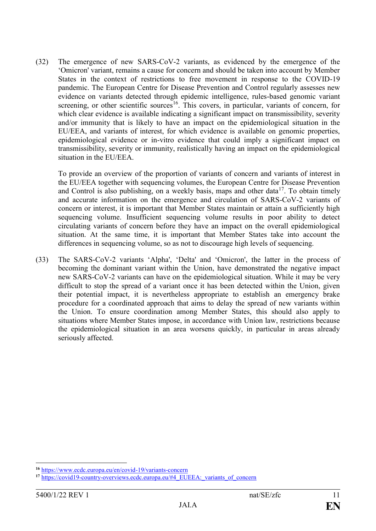(32) The emergence of new SARS-CoV-2 variants, as evidenced by the emergence of the 'Omicron' variant, remains a cause for concern and should be taken into account by Member States in the context of restrictions to free movement in response to the COVID-19 pandemic. The European Centre for Disease Prevention and Control regularly assesses new evidence on variants detected through epidemic intelligence, rules-based genomic variant screening, or other scientific sources<sup>16</sup>. This covers, in particular, variants of concern, for which clear evidence is available indicating a significant impact on transmissibility, severity and/or immunity that is likely to have an impact on the epidemiological situation in the EU/EEA, and variants of interest, for which evidence is available on genomic properties, epidemiological evidence or in-vitro evidence that could imply a significant impact on transmissibility, severity or immunity, realistically having an impact on the epidemiological situation in the EU/EEA.

To provide an overview of the proportion of variants of concern and variants of interest in the EU/EEA together with sequencing volumes, the European Centre for Disease Prevention and Control is also publishing, on a weekly basis, maps and other data<sup>17</sup>. To obtain timely and accurate information on the emergence and circulation of SARS-CoV-2 variants of concern or interest, it is important that Member States maintain or attain a sufficiently high sequencing volume. Insufficient sequencing volume results in poor ability to detect circulating variants of concern before they have an impact on the overall epidemiological situation. At the same time, it is important that Member States take into account the differences in sequencing volume, so as not to discourage high levels of sequencing.

(33) The SARS-CoV-2 variants 'Alpha', 'Delta' and 'Omicron', the latter in the process of becoming the dominant variant within the Union, have demonstrated the negative impact new SARS-CoV-2 variants can have on the epidemiological situation. While it may be very difficult to stop the spread of a variant once it has been detected within the Union, given their potential impact, it is nevertheless appropriate to establish an emergency brake procedure for a coordinated approach that aims to delay the spread of new variants within the Union. To ensure coordination among Member States, this should also apply to situations where Member States impose, in accordance with Union law, restrictions because the epidemiological situation in an area worsens quickly, in particular in areas already seriously affected.

**<sup>16</sup>** <https://www.ecdc.europa.eu/en/covid-19/variants-concern>

<sup>&</sup>lt;sup>17</sup> [https://covid19-country-overviews.ecdc.europa.eu/#4\\_EUEEA:\\_variants\\_of\\_concern](https://covid19-country-overviews.ecdc.europa.eu/#4_EUEEA:_variants_of_concern)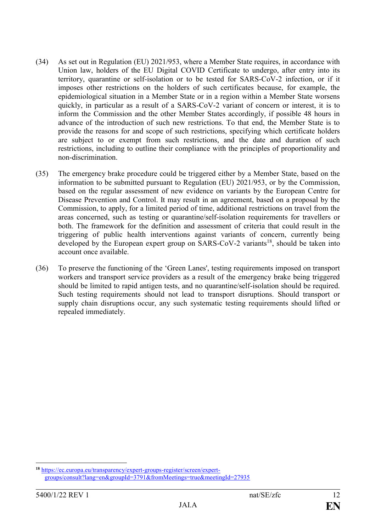- (34) As set out in Regulation (EU) 2021/953, where a Member State requires, in accordance with Union law, holders of the EU Digital COVID Certificate to undergo, after entry into its territory, quarantine or self-isolation or to be tested for SARS-CoV-2 infection, or if it imposes other restrictions on the holders of such certificates because, for example, the epidemiological situation in a Member State or in a region within a Member State worsens quickly, in particular as a result of a SARS-CoV-2 variant of concern or interest, it is to inform the Commission and the other Member States accordingly, if possible 48 hours in advance of the introduction of such new restrictions. To that end, the Member State is to provide the reasons for and scope of such restrictions, specifying which certificate holders are subject to or exempt from such restrictions, and the date and duration of such restrictions, including to outline their compliance with the principles of proportionality and non-discrimination.
- (35) The emergency brake procedure could be triggered either by a Member State, based on the information to be submitted pursuant to Regulation (EU) 2021/953, or by the Commission, based on the regular assessment of new evidence on variants by the European Centre for Disease Prevention and Control. It may result in an agreement, based on a proposal by the Commission, to apply, for a limited period of time, additional restrictions on travel from the areas concerned, such as testing or quarantine/self-isolation requirements for travellers or both. The framework for the definition and assessment of criteria that could result in the triggering of public health interventions against variants of concern, currently being developed by the European expert group on  $SARS-CoV-2$  variants<sup>18</sup>, should be taken into account once available.
- (36) To preserve the functioning of the 'Green Lanes', testing requirements imposed on transport workers and transport service providers as a result of the emergency brake being triggered should be limited to rapid antigen tests, and no quarantine/self-isolation should be required. Such testing requirements should not lead to transport disruptions. Should transport or supply chain disruptions occur, any such systematic testing requirements should lifted or repealed immediately.

**<sup>18</sup>** [https://ec.europa.eu/transparency/expert-groups-register/screen/expert](https://ec.europa.eu/transparency/expert-groups-register/screen/expert-groups/consult?lang=en&groupId=3791&fromMeetings=true&meetingId=27935)[groups/consult?lang=en&groupId=3791&fromMeetings=true&meetingId=27935](https://ec.europa.eu/transparency/expert-groups-register/screen/expert-groups/consult?lang=en&groupId=3791&fromMeetings=true&meetingId=27935)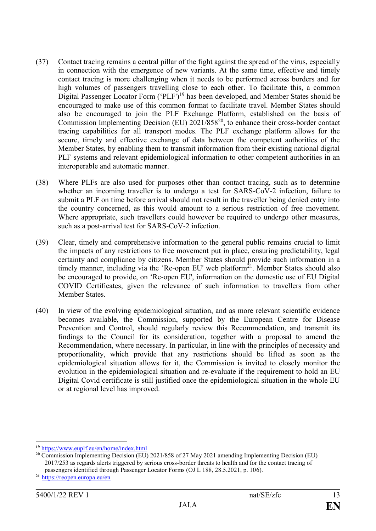- (37) Contact tracing remains a central pillar of the fight against the spread of the virus, especially in connection with the emergence of new variants. At the same time, effective and timely contact tracing is more challenging when it needs to be performed across borders and for high volumes of passengers travelling close to each other. To facilitate this, a common Digital Passenger Locator Form ('PLF')<sup>19</sup> has been developed, and Member States should be encouraged to make use of this common format to facilitate travel. Member States should also be encouraged to join the PLF Exchange Platform, established on the basis of Commission Implementing Decision (EU) 2021/858<sup>20</sup>, to enhance their cross-border contact tracing capabilities for all transport modes. The PLF exchange platform allows for the secure, timely and effective exchange of data between the competent authorities of the Member States, by enabling them to transmit information from their existing national digital PLF systems and relevant epidemiological information to other competent authorities in an interoperable and automatic manner.
- (38) Where PLFs are also used for purposes other than contact tracing, such as to determine whether an incoming traveller is to undergo a test for SARS-CoV-2 infection, failure to submit a PLF on time before arrival should not result in the traveller being denied entry into the country concerned, as this would amount to a serious restriction of free movement. Where appropriate, such travellers could however be required to undergo other measures, such as a post-arrival test for SARS-CoV-2 infection.
- (39) Clear, timely and comprehensive information to the general public remains crucial to limit the impacts of any restrictions to free movement put in place, ensuring predictability, legal certainty and compliance by citizens. Member States should provide such information in a timely manner, including via the 'Re-open EU' web platform<sup>21</sup>. Member States should also be encouraged to provide, on 'Re-open EU', information on the domestic use of EU Digital COVID Certificates, given the relevance of such information to travellers from other Member States.
- (40) In view of the evolving epidemiological situation, and as more relevant scientific evidence becomes available, the Commission, supported by the European Centre for Disease Prevention and Control, should regularly review this Recommendation, and transmit its findings to the Council for its consideration, together with a proposal to amend the Recommendation, where necessary. In particular, in line with the principles of necessity and proportionality, which provide that any restrictions should be lifted as soon as the epidemiological situation allows for it, the Commission is invited to closely monitor the evolution in the epidemiological situation and re-evaluate if the requirement to hold an EU Digital Covid certificate is still justified once the epidemiological situation in the whole EU or at regional level has improved.

<sup>1</sup> **<sup>19</sup>** <https://www.euplf.eu/en/home/index.html>

**<sup>20</sup>** Commission Implementing Decision (EU) 2021/858 of 27 May 2021 amending Implementing Decision (EU) 2017/253 as regards alerts triggered by serious cross-border threats to health and for the contact tracing of passengers identified through Passenger Locator Forms (OJ L 188, 28.5.2021, p. 106).

**<sup>21</sup>** <https://reopen.europa.eu/en>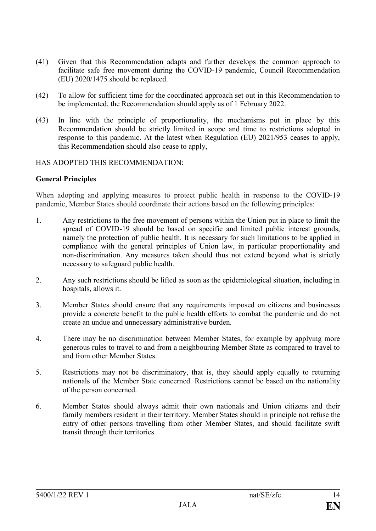- (41) Given that this Recommendation adapts and further develops the common approach to facilitate safe free movement during the COVID-19 pandemic, Council Recommendation (EU) 2020/1475 should be replaced.
- (42) To allow for sufficient time for the coordinated approach set out in this Recommendation to be implemented, the Recommendation should apply as of 1 February 2022.
- (43) In line with the principle of proportionality, the mechanisms put in place by this Recommendation should be strictly limited in scope and time to restrictions adopted in response to this pandemic. At the latest when Regulation (EU) 2021/953 ceases to apply, this Recommendation should also cease to apply,

## HAS ADOPTED THIS RECOMMENDATION:

## **General Principles**

When adopting and applying measures to protect public health in response to the COVID-19 pandemic, Member States should coordinate their actions based on the following principles:

- 1. Any restrictions to the free movement of persons within the Union put in place to limit the spread of COVID-19 should be based on specific and limited public interest grounds, namely the protection of public health. It is necessary for such limitations to be applied in compliance with the general principles of Union law, in particular proportionality and non-discrimination. Any measures taken should thus not extend beyond what is strictly necessary to safeguard public health.
- 2. Any such restrictions should be lifted as soon as the epidemiological situation, including in hospitals, allows it.
- 3. Member States should ensure that any requirements imposed on citizens and businesses provide a concrete benefit to the public health efforts to combat the pandemic and do not create an undue and unnecessary administrative burden.
- 4. There may be no discrimination between Member States, for example by applying more generous rules to travel to and from a neighbouring Member State as compared to travel to and from other Member States.
- 5. Restrictions may not be discriminatory, that is, they should apply equally to returning nationals of the Member State concerned. Restrictions cannot be based on the nationality of the person concerned.
- 6. Member States should always admit their own nationals and Union citizens and their family members resident in their territory. Member States should in principle not refuse the entry of other persons travelling from other Member States, and should facilitate swift transit through their territories.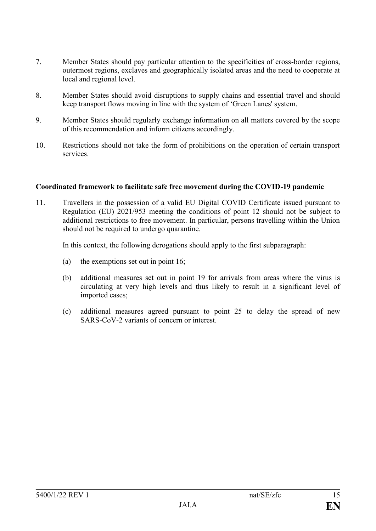- 7. Member States should pay particular attention to the specificities of cross-border regions, outermost regions, exclaves and geographically isolated areas and the need to cooperate at local and regional level.
- 8. Member States should avoid disruptions to supply chains and essential travel and should keep transport flows moving in line with the system of 'Green Lanes' system.
- 9. Member States should regularly exchange information on all matters covered by the scope of this recommendation and inform citizens accordingly.
- 10. Restrictions should not take the form of prohibitions on the operation of certain transport services.

## **Coordinated framework to facilitate safe free movement during the COVID-19 pandemic**

11. Travellers in the possession of a valid EU Digital COVID Certificate issued pursuant to Regulation (EU) 2021/953 meeting the conditions of point 12 should not be subject to additional restrictions to free movement. In particular, persons travelling within the Union should not be required to undergo quarantine.

In this context, the following derogations should apply to the first subparagraph:

- (a) the exemptions set out in point 16;
- (b) additional measures set out in point 19 for arrivals from areas where the virus is circulating at very high levels and thus likely to result in a significant level of imported cases;
- (c) additional measures agreed pursuant to point 25 to delay the spread of new SARS-CoV-2 variants of concern or interest.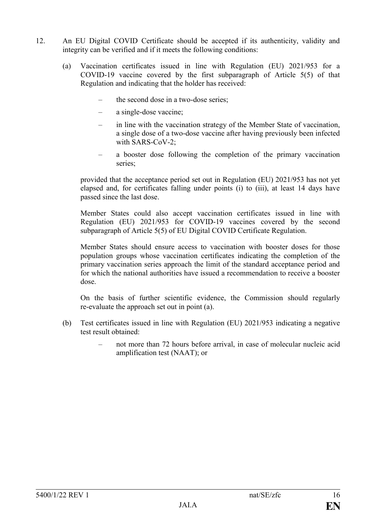- 12. An EU Digital COVID Certificate should be accepted if its authenticity, validity and integrity can be verified and if it meets the following conditions:
	- (a) Vaccination certificates issued in line with Regulation (EU) 2021/953 for a COVID-19 vaccine covered by the first subparagraph of Article 5(5) of that Regulation and indicating that the holder has received:
		- the second dose in a two-dose series;
		- a single-dose vaccine;
		- in line with the vaccination strategy of the Member State of vaccination, a single dose of a two-dose vaccine after having previously been infected with SARS-CoV-2;
		- a booster dose following the completion of the primary vaccination series;

provided that the acceptance period set out in Regulation (EU) 2021/953 has not yet elapsed and, for certificates falling under points (i) to (iii), at least 14 days have passed since the last dose.

Member States could also accept vaccination certificates issued in line with Regulation (EU) 2021/953 for COVID-19 vaccines covered by the second subparagraph of Article 5(5) of EU Digital COVID Certificate Regulation.

Member States should ensure access to vaccination with booster doses for those population groups whose vaccination certificates indicating the completion of the primary vaccination series approach the limit of the standard acceptance period and for which the national authorities have issued a recommendation to receive a booster dose.

On the basis of further scientific evidence, the Commission should regularly re-evaluate the approach set out in point (a).

- (b) Test certificates issued in line with Regulation (EU) 2021/953 indicating a negative test result obtained:
	- not more than 72 hours before arrival, in case of molecular nucleic acid amplification test (NAAT); or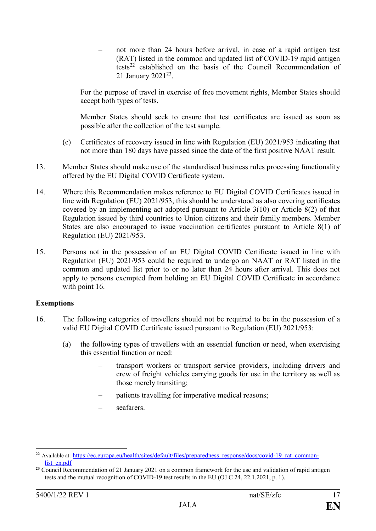– not more than 24 hours before arrival, in case of a rapid antigen test (RAT) listed in the common and updated list of COVID-19 rapid antigen  $t$ established on the basis of the Council Recommendation of 21 January 2021<sup>23</sup>.

For the purpose of travel in exercise of free movement rights, Member States should accept both types of tests.

Member States should seek to ensure that test certificates are issued as soon as possible after the collection of the test sample.

- (c) Certificates of recovery issued in line with Regulation (EU) 2021/953 indicating that not more than 180 days have passed since the date of the first positive NAAT result.
- 13. Member States should make use of the standardised business rules processing functionality offered by the EU Digital COVID Certificate system.
- 14. Where this Recommendation makes reference to EU Digital COVID Certificates issued in line with Regulation (EU) 2021/953, this should be understood as also covering certificates covered by an implementing act adopted pursuant to Article 3(10) or Article 8(2) of that Regulation issued by third countries to Union citizens and their family members. Member States are also encouraged to issue vaccination certificates pursuant to Article 8(1) of Regulation (EU) 2021/953.
- 15. Persons not in the possession of an EU Digital COVID Certificate issued in line with Regulation (EU) 2021/953 could be required to undergo an NAAT or RAT listed in the common and updated list prior to or no later than 24 hours after arrival. This does not apply to persons exempted from holding an EU Digital COVID Certificate in accordance with point 16.

# **Exemptions**

- 16. The following categories of travellers should not be required to be in the possession of a valid EU Digital COVID Certificate issued pursuant to Regulation (EU) 2021/953:
	- (a) the following types of travellers with an essential function or need, when exercising this essential function or need:
		- transport workers or transport service providers, including drivers and crew of freight vehicles carrying goods for use in the territory as well as those merely transiting;
		- patients travelling for imperative medical reasons;
		- seafarers.

<sup>&</sup>lt;sup>22</sup> Available at: [https://ec.europa.eu/health/sites/default/files/preparedness\\_response/docs/covid-19\\_rat\\_common](Available%20at:%20https:/ec.europa.eu/health/sites/default/files/preparedness_response/docs/covid-19_rat_common-list_en.pdf)[list\\_en.pdf](Available%20at:%20https:/ec.europa.eu/health/sites/default/files/preparedness_response/docs/covid-19_rat_common-list_en.pdf)

<sup>&</sup>lt;sup>23</sup> Council Recommendation of 21 January 2021 on a common framework for the use and validation of rapid antigen tests and the mutual recognition of COVID-19 test results in the EU (OJ C 24, 22.1.2021, p. 1).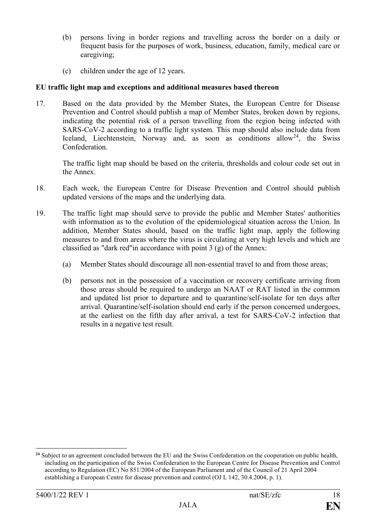- (b) persons living in border regions and travelling across the border on a daily or frequent basis for the purposes of work, business, education, family, medical care or caregiving;
- (c) children under the age of 12 years.

## **EU traffic light map and exceptions and additional measures based thereon**

17. Based on the data provided by the Member States, the European Centre for Disease Prevention and Control should publish a map of Member States, broken down by regions, indicating the potential risk of a person travelling from the region being infected with SARS-CoV-2 according to a traffic light system. This map should also include data from Iceland, Liechtenstein, Norway and, as soon as conditions allow<sup>24</sup>, the Swiss Confederation.

The traffic light map should be based on the criteria, thresholds and colour code set out in the Annex.

- 18. Each week, the European Centre for Disease Prevention and Control should publish updated versions of the maps and the underlying data.
- 19. The traffic light map should serve to provide the public and Member States' authorities with information as to the evolution of the epidemiological situation across the Union. In addition, Member States should, based on the traffic light map, apply the following measures to and from areas where the virus is circulating at very high levels and which are classified as "dark red"in accordance with point 3 (g) of the Annex:
	- (a) Member States should discourage all non-essential travel to and from those areas;
	- (b) persons not in the possession of a vaccination or recovery certificate arriving from those areas should be required to undergo an NAAT or RAT listed in the common and updated list prior to departure and to quarantine/self-isolate for ten days after arrival. Quarantine/self-isolation should end early if the person concerned undergoes, at the earliest on the fifth day after arrival, a test for SARS-CoV-2 infection that results in a negative test result.

**<sup>24</sup>** Subject to an agreement concluded between the EU and the Swiss Confederation on the cooperation on public health, including on the participation of the Swiss Confederation to the European Centre for Disease Prevention and Control according to Regulation (EC) No 851/2004 of the European Parliament and of the Council of 21 April 2004 establishing a European Centre for disease prevention and control (OJ L 142, 30.4.2004, p. 1).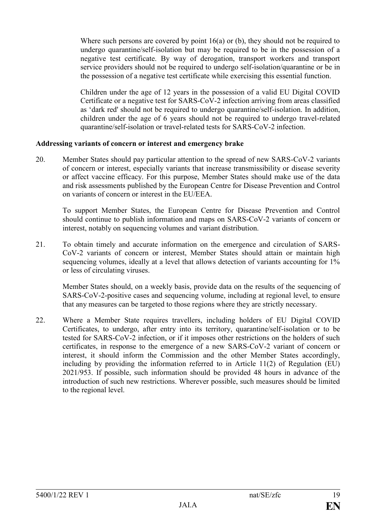Where such persons are covered by point 16(a) or (b), they should not be required to undergo quarantine/self-isolation but may be required to be in the possession of a negative test certificate. By way of derogation, transport workers and transport service providers should not be required to undergo self-isolation/quarantine or be in the possession of a negative test certificate while exercising this essential function.

Children under the age of 12 years in the possession of a valid EU Digital COVID Certificate or a negative test for SARS-CoV-2 infection arriving from areas classified as 'dark red' should not be required to undergo quarantine/self-isolation. In addition, children under the age of 6 years should not be required to undergo travel-related quarantine/self-isolation or travel-related tests for SARS-CoV-2 infection.

## **Addressing variants of concern or interest and emergency brake**

20. Member States should pay particular attention to the spread of new SARS-CoV-2 variants of concern or interest, especially variants that increase transmissibility or disease severity or affect vaccine efficacy. For this purpose, Member States should make use of the data and risk assessments published by the European Centre for Disease Prevention and Control on variants of concern or interest in the EU/EEA.

To support Member States, the European Centre for Disease Prevention and Control should continue to publish information and maps on SARS-CoV-2 variants of concern or interest, notably on sequencing volumes and variant distribution.

21. To obtain timely and accurate information on the emergence and circulation of SARS-CoV-2 variants of concern or interest, Member States should attain or maintain high sequencing volumes, ideally at a level that allows detection of variants accounting for 1% or less of circulating viruses.

Member States should, on a weekly basis, provide data on the results of the sequencing of SARS-CoV-2-positive cases and sequencing volume, including at regional level, to ensure that any measures can be targeted to those regions where they are strictly necessary.

22. Where a Member State requires travellers, including holders of EU Digital COVID Certificates, to undergo, after entry into its territory, quarantine/self-isolation or to be tested for SARS-CoV-2 infection, or if it imposes other restrictions on the holders of such certificates, in response to the emergence of a new SARS-CoV-2 variant of concern or interest, it should inform the Commission and the other Member States accordingly, including by providing the information referred to in Article 11(2) of Regulation (EU) 2021/953. If possible, such information should be provided 48 hours in advance of the introduction of such new restrictions. Wherever possible, such measures should be limited to the regional level.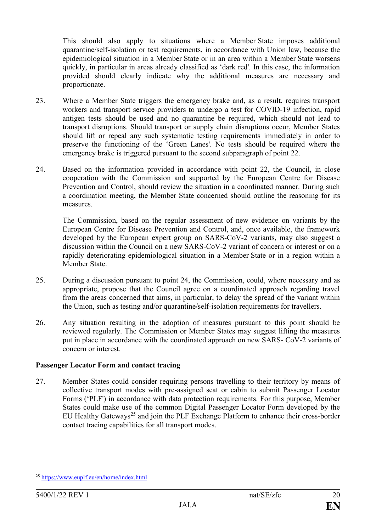This should also apply to situations where a Member State imposes additional quarantine/self-isolation or test requirements, in accordance with Union law, because the epidemiological situation in a Member State or in an area within a Member State worsens quickly, in particular in areas already classified as 'dark red'. In this case, the information provided should clearly indicate why the additional measures are necessary and proportionate.

- 23. Where a Member State triggers the emergency brake and, as a result, requires transport workers and transport service providers to undergo a test for COVID-19 infection, rapid antigen tests should be used and no quarantine be required, which should not lead to transport disruptions. Should transport or supply chain disruptions occur, Member States should lift or repeal any such systematic testing requirements immediately in order to preserve the functioning of the 'Green Lanes'. No tests should be required where the emergency brake is triggered pursuant to the second subparagraph of point 22.
- 24. Based on the information provided in accordance with point 22, the Council, in close cooperation with the Commission and supported by the European Centre for Disease Prevention and Control, should review the situation in a coordinated manner. During such a coordination meeting, the Member State concerned should outline the reasoning for its measures.

The Commission, based on the regular assessment of new evidence on variants by the European Centre for Disease Prevention and Control, and, once available, the framework developed by the European expert group on SARS-CoV-2 variants, may also suggest a discussion within the Council on a new SARS-CoV-2 variant of concern or interest or on a rapidly deteriorating epidemiological situation in a Member State or in a region within a Member State.

- 25. During a discussion pursuant to point 24, the Commission, could, where necessary and as appropriate, propose that the Council agree on a coordinated approach regarding travel from the areas concerned that aims, in particular, to delay the spread of the variant within the Union, such as testing and/or quarantine/self-isolation requirements for travellers.
- 26. Any situation resulting in the adoption of measures pursuant to this point should be reviewed regularly. The Commission or Member States may suggest lifting the measures put in place in accordance with the coordinated approach on new SARS- CoV-2 variants of concern or interest.

## **Passenger Locator Form and contact tracing**

27. Member States could consider requiring persons travelling to their territory by means of collective transport modes with pre-assigned seat or cabin to submit Passenger Locator Forms ('PLF') in accordance with data protection requirements. For this purpose, Member States could make use of the common Digital Passenger Locator Form developed by the EU Healthy Gateways<sup>25</sup> and join the PLF Exchange Platform to enhance their cross-border contact tracing capabilities for all transport modes.

<sup>&</sup>lt;u>.</u> **<sup>25</sup>** <https://www.euplf.eu/en/home/index.html>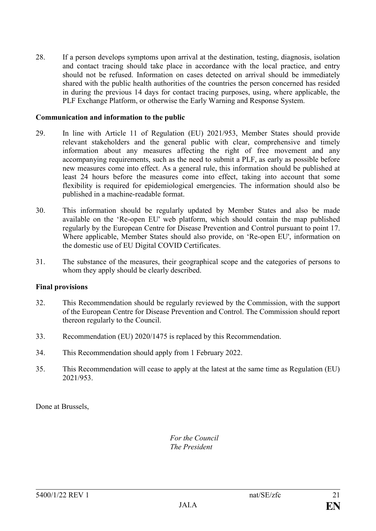28. If a person develops symptoms upon arrival at the destination, testing, diagnosis, isolation and contact tracing should take place in accordance with the local practice, and entry should not be refused. Information on cases detected on arrival should be immediately shared with the public health authorities of the countries the person concerned has resided in during the previous 14 days for contact tracing purposes, using, where applicable, the PLF Exchange Platform, or otherwise the Early Warning and Response System.

#### **Communication and information to the public**

- 29. In line with Article 11 of Regulation (EU) 2021/953, Member States should provide relevant stakeholders and the general public with clear, comprehensive and timely information about any measures affecting the right of free movement and any accompanying requirements, such as the need to submit a PLF, as early as possible before new measures come into effect. As a general rule, this information should be published at least 24 hours before the measures come into effect, taking into account that some flexibility is required for epidemiological emergencies. The information should also be published in a machine-readable format.
- 30. This information should be regularly updated by Member States and also be made available on the 'Re-open EU' web platform, which should contain the map published regularly by the European Centre for Disease Prevention and Control pursuant to point 17. Where applicable, Member States should also provide, on 'Re-open EU', information on the domestic use of EU Digital COVID Certificates.
- 31. The substance of the measures, their geographical scope and the categories of persons to whom they apply should be clearly described.

#### **Final provisions**

- 32. This Recommendation should be regularly reviewed by the Commission, with the support of the European Centre for Disease Prevention and Control. The Commission should report thereon regularly to the Council.
- 33. Recommendation (EU) 2020/1475 is replaced by this Recommendation.
- 34. This Recommendation should apply from 1 February 2022.
- 35. This Recommendation will cease to apply at the latest at the same time as Regulation (EU) 2021/953.

Done at Brussels,

*For the Council The President*